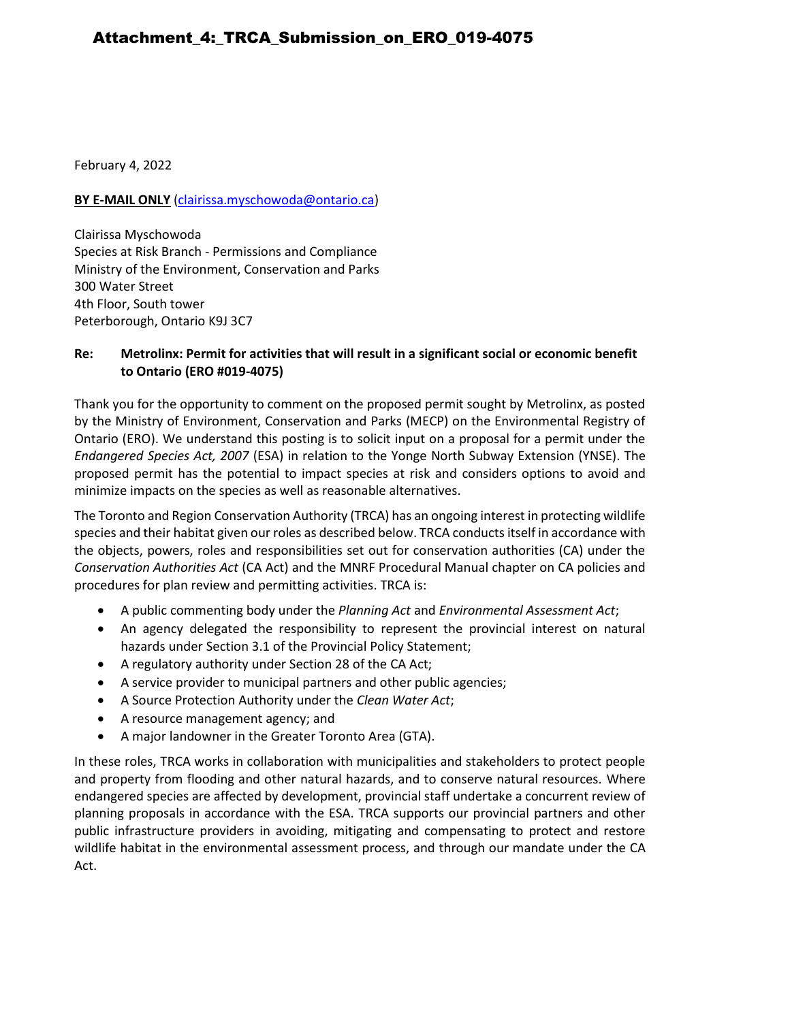February 4, 2022

### **BY E-MAIL ONLY** [\(clairissa.myschowoda@ontario.ca\)](mailto:clairissa.myschowoda@ontario.ca)

Clairissa Myschowoda Species at Risk Branch - Permissions and Compliance Ministry of the Environment, Conservation and Parks 300 Water Street 4th Floor, South tower Peterborough, Ontario K9J 3C7

### **Re: Metrolinx: Permit for activities that will result in a significant social or economic benefit to Ontario (ERO #019-4075)**

Thank you for the opportunity to comment on the proposed permit sought by Metrolinx, as posted by the Ministry of Environment, Conservation and Parks (MECP) on the Environmental Registry of Ontario (ERO). We understand this posting is to solicit input on a proposal for a permit under the *Endangered Species Act, 2007* (ESA) in relation to the Yonge North Subway Extension (YNSE). The proposed permit has the potential to impact species at risk and considers options to avoid and minimize impacts on the species as well as reasonable alternatives.

The Toronto and Region Conservation Authority (TRCA) has an ongoing interest in protecting wildlife species and their habitat given our roles as described below. TRCA conducts itself in accordance with the objects, powers, roles and responsibilities set out for conservation authorities (CA) under the *Conservation Authorities Act* (CA Act) and the MNRF Procedural Manual chapter on CA policies and procedures for plan review and permitting activities. TRCA is:

- A public commenting body under the *Planning Act* and *Environmental Assessment Act*;
- An agency delegated the responsibility to represent the provincial interest on natural hazards under Section 3.1 of the Provincial Policy Statement;
- A regulatory authority under Section 28 of the CA Act;
- A service provider to municipal partners and other public agencies;
- A Source Protection Authority under the *Clean Water Act*;
- A resource management agency; and
- A major landowner in the Greater Toronto Area (GTA).

In these roles, TRCA works in collaboration with municipalities and stakeholders to protect people and property from flooding and other natural hazards, and to conserve natural resources. Where endangered species are affected by development, provincial staff undertake a concurrent review of planning proposals in accordance with the ESA. TRCA supports our provincial partners and other public infrastructure providers in avoiding, mitigating and compensating to protect and restore wildlife habitat in the environmental assessment process, and through our mandate under the CA Act.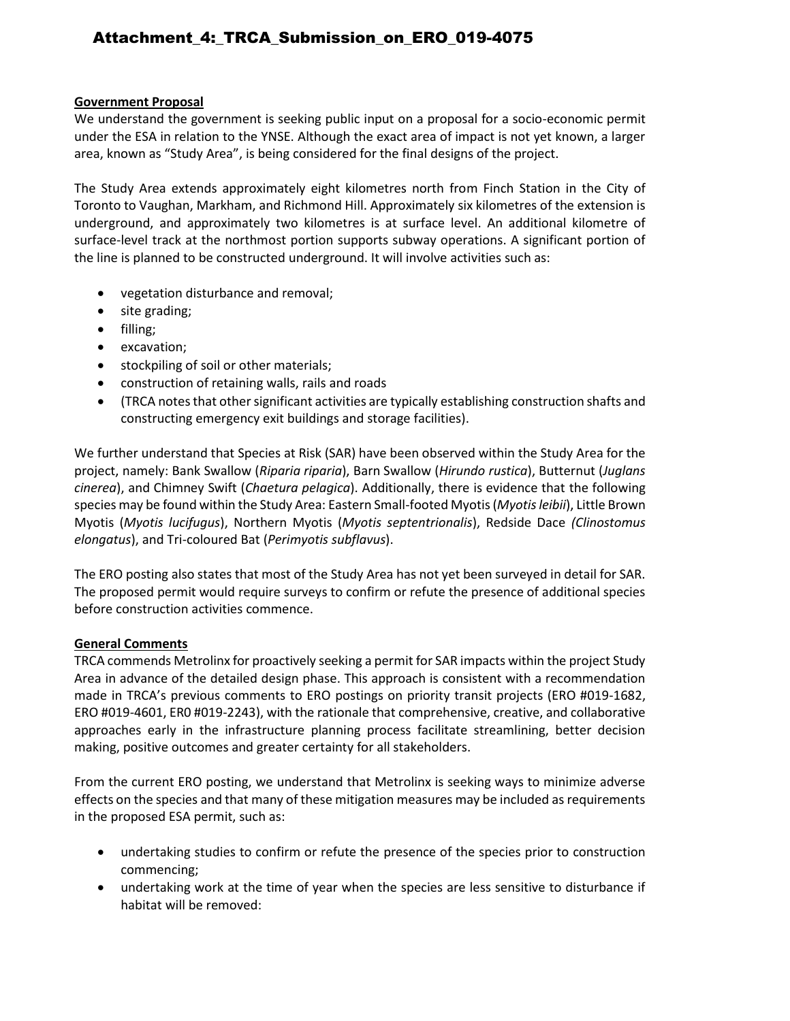# Attachment\_4:\_TRCA\_Submission\_on\_ERO\_019-4075

#### **Government Proposal**

We understand the government is seeking public input on a proposal for a socio-economic permit under the ESA in relation to the YNSE. Although the exact area of impact is not yet known, a larger area, known as "Study Area", is being considered for the final designs of the project.

The Study Area extends approximately eight kilometres north from Finch Station in the City of Toronto to Vaughan, Markham, and Richmond Hill. Approximately six kilometres of the extension is underground, and approximately two kilometres is at surface level. An additional kilometre of surface-level track at the northmost portion supports subway operations. A significant portion of the line is planned to be constructed underground. It will involve activities such as:

- vegetation disturbance and removal;
- site grading;
- filling;
- excavation;
- stockpiling of soil or other materials;
- construction of retaining walls, rails and roads
- (TRCA notes that other significant activities are typically establishing construction shafts and constructing emergency exit buildings and storage facilities).

We further understand that Species at Risk (SAR) have been observed within the Study Area for the project, namely: Bank Swallow (*Riparia riparia*), Barn Swallow (*Hirundo rustica*), Butternut (*Juglans cinerea*), and Chimney Swift (*Chaetura pelagica*). Additionally, there is evidence that the following species may be found within the Study Area: Eastern Small-footed Myotis (*Myotis leibii*), Little Brown Myotis (*Myotis lucifugus*), Northern Myotis (*Myotis septentrionalis*), Redside Dace *(Clinostomus elongatus*), and Tri-coloured Bat (*Perimyotis subflavus*).

The ERO posting also states that most of the Study Area has not yet been surveyed in detail for SAR. The proposed permit would require surveys to confirm or refute the presence of additional species before construction activities commence.

#### **General Comments**

TRCA commends Metrolinx for proactively seeking a permit for SAR impacts within the project Study Area in advance of the detailed design phase. This approach is consistent with a recommendation made in TRCA's previous comments to ERO postings on priority transit projects (ERO #019-1682, ERO #019-4601, ER0 #019-2243), with the rationale that comprehensive, creative, and collaborative approaches early in the infrastructure planning process facilitate streamlining, better decision making, positive outcomes and greater certainty for all stakeholders.

From the current ERO posting, we understand that Metrolinx is seeking ways to minimize adverse effects on the species and that many of these mitigation measures may be included as requirements in the proposed ESA permit, such as:

- undertaking studies to confirm or refute the presence of the species prior to construction commencing;
- undertaking work at the time of year when the species are less sensitive to disturbance if habitat will be removed: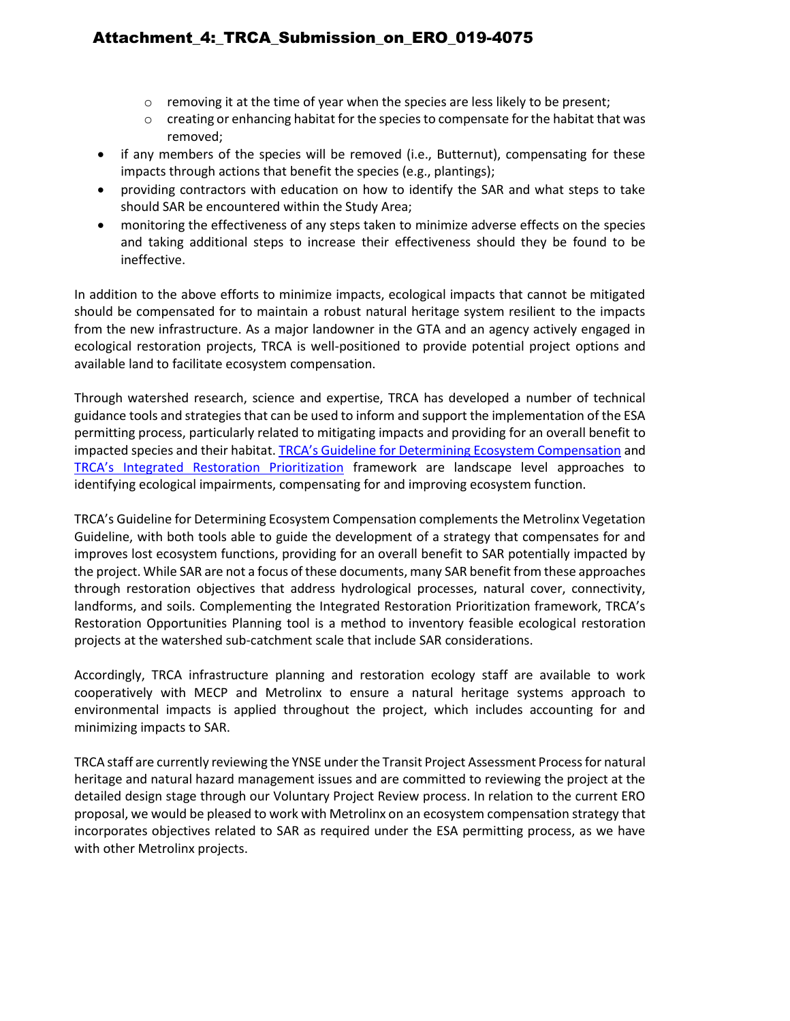# Attachment\_4:\_TRCA\_Submission\_on\_ERO\_019-4075

- $\circ$  removing it at the time of year when the species are less likely to be present;
- o creating or enhancing habitat for the species to compensate for the habitat that was removed;
- if any members of the species will be removed (i.e., Butternut), compensating for these impacts through actions that benefit the species (e.g., plantings);
- providing contractors with education on how to identify the SAR and what steps to take should SAR be encountered within the Study Area;
- monitoring the effectiveness of any steps taken to minimize adverse effects on the species and taking additional steps to increase their effectiveness should they be found to be ineffective.

In addition to the above efforts to minimize impacts, ecological impacts that cannot be mitigated should be compensated for to maintain a robust natural heritage system resilient to the impacts from the new infrastructure. As a major landowner in the GTA and an agency actively engaged in ecological restoration projects, TRCA is well-positioned to provide potential project options and available land to facilitate ecosystem compensation.

Through watershed research, science and expertise, TRCA has developed a number of technical guidance tools and strategies that can be used to inform and support the implementation of the ESA permitting process, particularly related to mitigating impacts and providing for an overall benefit to impacted species and their habitat. [TRCA's Guideline for Determining Ecosystem Compensation](https://s3-ca-central-1.amazonaws.com/trcaca/app/uploads/2019/11/27105627/TRCA-Guideline-for-Determining-Ecosystem-Compensation-June-2018_v2.pdf) and [TRCA's Integrated Restoration Prioritization](https://trcaca.s3.ca-central-1.amazonaws.com/app/uploads/2016/12/17173040/2894_TRCA_IntegratedRestorationPrioritizationReport2015_Feb2016-FA-singlepgs-WEB-Mar3.pdf) framework are landscape level approaches to identifying ecological impairments, compensating for and improving ecosystem function.

TRCA's Guideline for Determining Ecosystem Compensation complements the Metrolinx Vegetation Guideline, with both tools able to guide the development of a strategy that compensates for and improves lost ecosystem functions, providing for an overall benefit to SAR potentially impacted by the project. While SAR are not a focus of these documents, many SAR benefit from these approaches through restoration objectives that address hydrological processes, natural cover, connectivity, landforms, and soils. Complementing the Integrated Restoration Prioritization framework, TRCA's Restoration Opportunities Planning tool is a method to inventory feasible ecological restoration projects at the watershed sub-catchment scale that include SAR considerations.

Accordingly, TRCA infrastructure planning and restoration ecology staff are available to work cooperatively with MECP and Metrolinx to ensure a natural heritage systems approach to environmental impacts is applied throughout the project, which includes accounting for and minimizing impacts to SAR.

TRCA staff are currently reviewing the YNSE under the Transit Project Assessment Process for natural heritage and natural hazard management issues and are committed to reviewing the project at the detailed design stage through our Voluntary Project Review process. In relation to the current ERO proposal, we would be pleased to work with Metrolinx on an ecosystem compensation strategy that incorporates objectives related to SAR as required under the ESA permitting process, as we have with other Metrolinx projects.